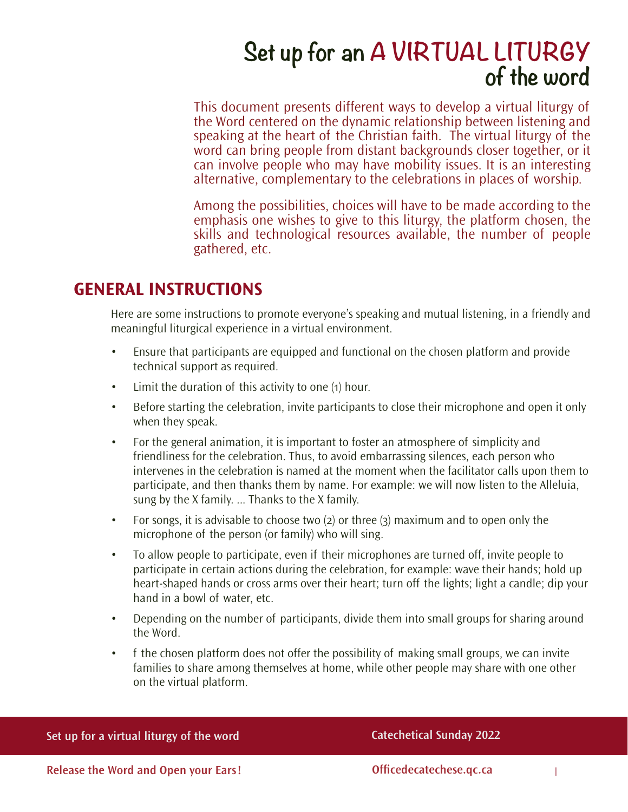# **Set up for an A VIRTUAL LITURGY of the word**

This document presents different ways to develop a virtual liturgy of the Word centered on the dynamic relationship between listening and speaking at the heart of the Christian faith. The virtual liturgy of the word can bring people from distant backgrounds closer together, or it can involve people who may have mobility issues. It is an interesting alternative, complementary to the celebrations in places of worship.

Among the possibilities, choices will have to be made according to the emphasis one wishes to give to this liturgy, the platform chosen, the skills and technological resources available, the number of people gathered, etc.

## **GENERAL INSTRUCTIONS**

Here are some instructions to promote everyone's speaking and mutual listening, in a friendly and meaningful liturgical experience in a virtual environment.

- Ensure that participants are equipped and functional on the chosen platform and provide technical support as required.
- Limit the duration of this activity to one (1) hour.
- Before starting the celebration, invite participants to close their microphone and open it only when they speak.
- For the general animation, it is important to foster an atmosphere of simplicity and friendliness for the celebration. Thus, to avoid embarrassing silences, each person who intervenes in the celebration is named at the moment when the facilitator calls upon them to participate, and then thanks them by name. For example: we will now listen to the Alleluia, sung by the X family. ... Thanks to the X family.
- For songs, it is advisable to choose two  $(2)$  or three  $(3)$  maximum and to open only the microphone of the person (or family) who will sing.
- To allow people to participate, even if their microphones are turned off, invite people to participate in certain actions during the celebration, for example: wave their hands; hold up heart-shaped hands or cross arms over their heart; turn off the lights; light a candle; dip your hand in a bowl of water, etc.
- Depending on the number of participants, divide them into small groups for sharing around the Word.
- f the chosen platform does not offer the possibility of making small groups, we can invite families to share among themselves at home, while other people may share with one other on the virtual platform.

### **Set up for a virtual liturgy of the word Catechetical Sunday 2022**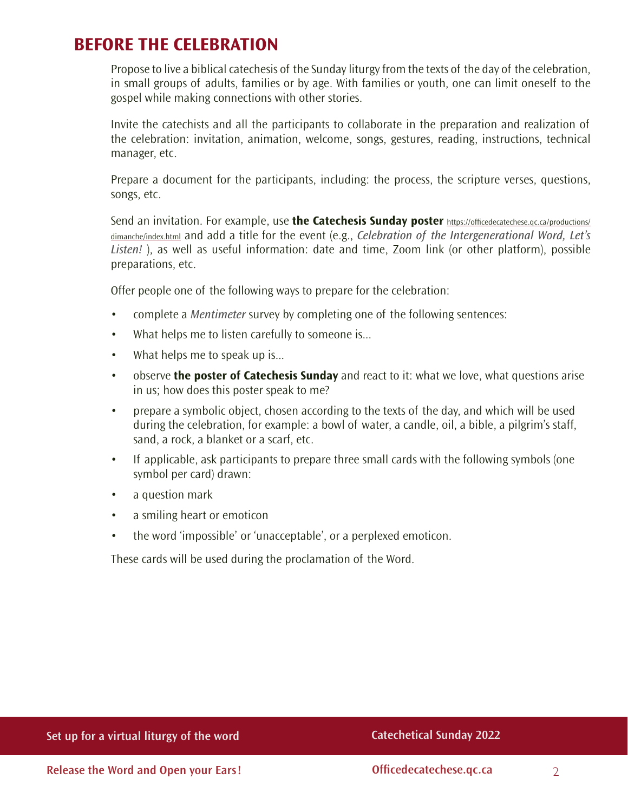## **BEFORE THE CELEBRATION**

Propose to live a biblical catechesis of the Sunday liturgy from the texts of the day of the celebration, in small groups of adults, families or by age. With families or youth, one can limit oneself to the gospel while making connections with other stories.

Invite the catechists and all the participants to collaborate in the preparation and realization of the celebration: invitation, animation, welcome, songs, gestures, reading, instructions, technical manager, etc.

Prepare a document for the participants, including: the process, the scripture verses, questions, songs, etc.

Send an invitation. For example, use **the Catechesis Sunday poster** [https://officedecatechese.qc.ca/productions/](https://officedecatechese.qc.ca/productions/dimanche/index.html) [dimanche/index.html](https://officedecatechese.qc.ca/productions/dimanche/index.html) and add a title for the event (e.g., *Celebration of the Intergenerational Word, Let's Listen!* ), as well as useful information: date and time, Zoom link (or other platform), possible preparations, etc.

Offer people one of the following ways to prepare for the celebration:

- complete a *Mentimeter* survey by completing one of the following sentences:
- What helps me to listen carefully to someone is...
- What helps me to speak up is...
- • observe **the poster of Catechesis Sunday** and react to it: what we love, what questions arise in us; how does this poster speak to me?
- • prepare a symbolic object, chosen according to the texts of the day, and which will be used during the celebration, for example: a bowl of water, a candle, oil, a bible, a pilgrim's staff, sand, a rock, a blanket or a scarf, etc.
- If applicable, ask participants to prepare three small cards with the following symbols (one symbol per card) drawn:
- a question mark
- a smiling heart or emoticon
- the word 'impossible' or 'unacceptable', or a perplexed emoticon.

These cards will be used during the proclamation of the Word.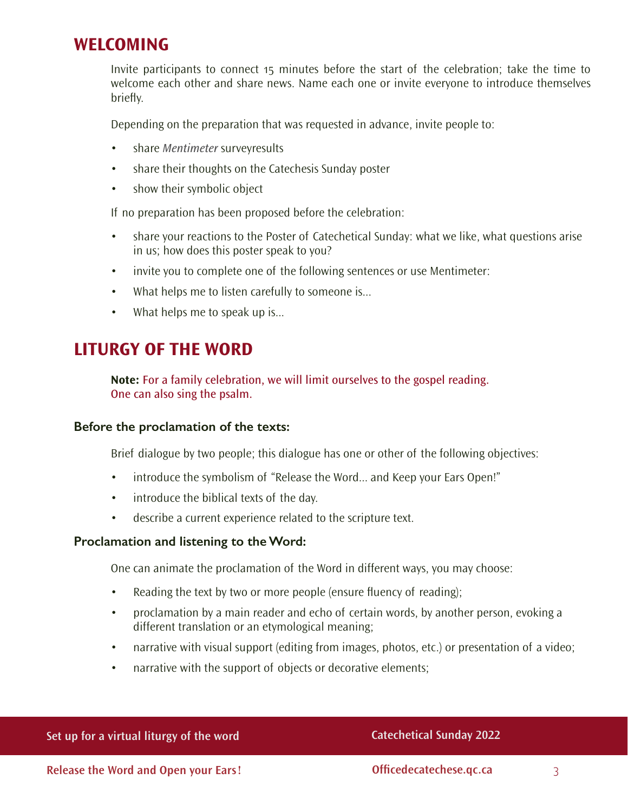## **WELCOMING**

Invite participants to connect 15 minutes before the start of the celebration; take the time to welcome each other and share news. Name each one or invite everyone to introduce themselves briefly.

Depending on the preparation that was requested in advance, invite people to:

- • share *Mentimeter* surveyresults
- share their thoughts on the Catechesis Sunday poster
- show their symbolic object

If no preparation has been proposed before the celebration:

- share your reactions to the Poster of Catechetical Sunday: what we like, what questions arise in us; how does this poster speak to you?
- invite you to complete one of the following sentences or use Mentimeter:
- What helps me to listen carefully to someone is...
- What helps me to speak up is...

## **LITURGY OF THE WORD**

**Note:** For a family celebration, we will limit ourselves to the gospel reading. One can also sing the psalm.

#### **Before the proclamation of the texts:**

Brief dialogue by two people; this dialogue has one or other of the following objectives:

- introduce the symbolism of "Release the Word... and Keep your Ears Open!"
- introduce the biblical texts of the day.
- • describe a current experience related to the scripture text.

### **Proclamation and listening to the Word:**

One can animate the proclamation of the Word in different ways, you may choose:

- Reading the text by two or more people (ensure fluency of reading);
- proclamation by a main reader and echo of certain words, by another person, evoking a different translation or an etymological meaning;
- narrative with visual support (editing from images, photos, etc.) or presentation of a video;
- narrative with the support of objects or decorative elements;

### **Set up for a virtual liturgy of the word Catechetical Sunday 2022**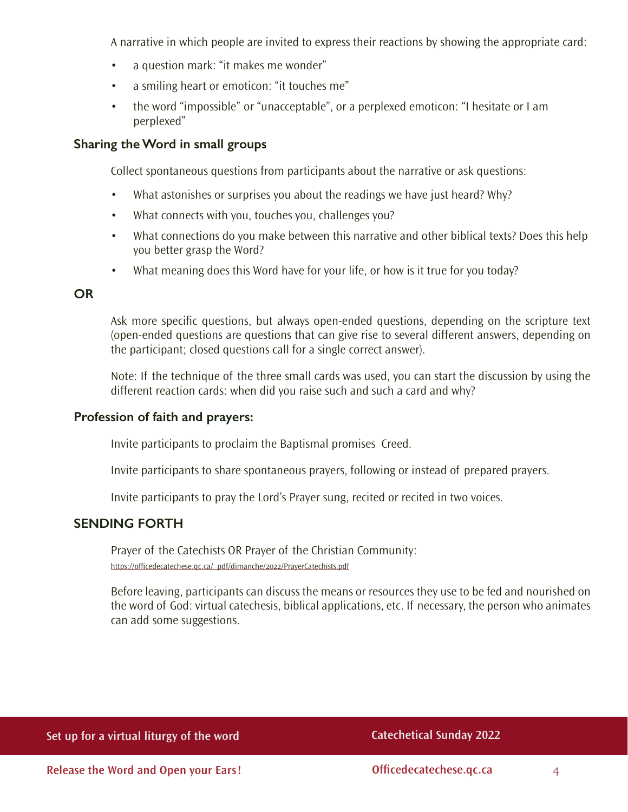A narrative in which people are invited to express their reactions by showing the appropriate card:

- a question mark: "it makes me wonder"
- a smiling heart or emoticon: "it touches me"
- the word "impossible" or "unacceptable", or a perplexed emoticon: "I hesitate or I am perplexed"

### **Sharing the Word in small groups**

Collect spontaneous questions from participants about the narrative or ask questions:

- What astonishes or surprises you about the readings we have just heard? Why?
- What connects with you, touches you, challenges you?
- What connections do you make between this narrative and other biblical texts? Does this help you better grasp the Word?
- What meaning does this Word have for your life, or how is it true for you today?

### **OR**

Ask more specific questions, but always open-ended questions, depending on the scripture text (open-ended questions are questions that can give rise to several different answers, depending on the participant; closed questions call for a single correct answer).

Note: If the technique of the three small cards was used, you can start the discussion by using the different reaction cards: when did you raise such and such a card and why?

### **Profession of faith and prayers:**

Invite participants to proclaim the Baptismal promises Creed.

Invite participants to share spontaneous prayers, following or instead of prepared prayers.

Invite participants to pray the Lord's Prayer sung, recited or recited in two voices.

### **SENDING FORTH**

Prayer of the Catechists OR Prayer of the Christian Community: [https://officedecatechese.qc.ca/\\_pdf/dimanche/2022/PrayerCatechists.pdf](https://officedecatechese.qc.ca/_pdf/dimanche/2022/PrayerCatechists.pdf)

Before leaving, participants can discuss the means or resources they use to be fed and nourished on the word of God: virtual catechesis, biblical applications, etc. If necessary, the person who animates can add some suggestions.